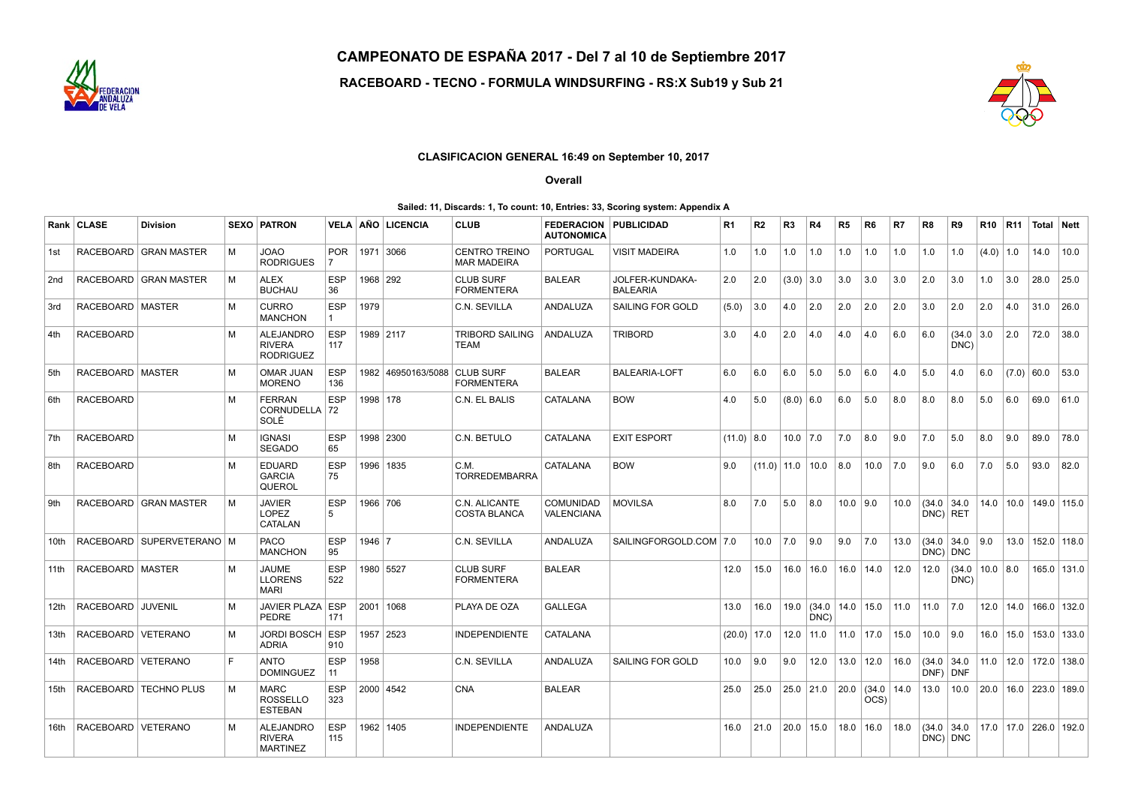

CAMPEONATO DE ESPAÑA 2017 - Del 7 al 10 de Septiembre 2017

RACEBOARD - TECNO - FORMULA WINDSURFING - RS:X Sub19 y Sub 21



## CLASIFICACION GENERAL 16:49 on September 10, 2017

Overall

## Sailed: 11, Discards: 1, To count: 10, Entries: 33, Scoring system: Appendix A

|                  | Rank CLASE           | <b>Division</b>               |   | <b>SEXO   PATRON</b>                                 | VELA              |            | AÑO LICENCIA                     | <b>CLUB</b>                                | <b>FEDERACION</b><br><b>AUTONOMICA</b> | <b>PUBLICIDAD</b>                  | R1              | R2                 | R3          | R4                            | R5           | R6             | R7   | R8                                 | R9                                 | <b>R10</b>    | <b>R11</b>   | Total Nett                  |                               |
|------------------|----------------------|-------------------------------|---|------------------------------------------------------|-------------------|------------|----------------------------------|--------------------------------------------|----------------------------------------|------------------------------------|-----------------|--------------------|-------------|-------------------------------|--------------|----------------|------|------------------------------------|------------------------------------|---------------|--------------|-----------------------------|-------------------------------|
| 1st              |                      | RACEBOARD   GRAN MASTER       | M | <b>JOAO</b><br><b>RODRIGUES</b>                      | <b>POR</b>        |            | 1971 3066                        | <b>CENTRO TREINO</b><br><b>MAR MADEIRA</b> | <b>PORTUGAL</b>                        | <b>VISIT MADEIRA</b>               | 1.0             | 1.0                | 1.0         | 1.0                           | 1.0          | 1.0            | 1.0  | 1.0                                | 1.0                                | $(4.0)$ 1.0   |              | 14.0                        | 10.0                          |
| 2nd              |                      | RACEBOARD   GRAN MASTER       | M | <b>ALEX</b><br><b>BUCHAU</b>                         | <b>ESP</b><br>36  | 1968   292 |                                  | <b>CLUB SURF</b><br><b>FORMENTERA</b>      | <b>BALEAR</b>                          | JOLFER-KUNDAKA-<br><b>BALEARIA</b> | 2.0             | 2.0                | $(3.0)$ 3.0 |                               | 3.0          | 3.0            | 3.0  | 2.0                                | 3.0                                | 1.0           | 3.0          | 28.0                        | 25.0                          |
| 3rd              | RACEBOARD   MASTER   |                               | м | <b>CURRO</b><br><b>MANCHON</b>                       | <b>ESP</b>        | 1979       |                                  | C.N. SEVILLA                               | <b>ANDALUZA</b>                        | SAILING FOR GOLD                   | (5.0)           | 3.0                | 4.0         | 2.0                           | 2.0          | 2.0            | 2.0  | 3.0                                | 2.0                                | 2.0           | 4.0          | 31.0                        | 26.0                          |
| 4th              | <b>RACEBOARD</b>     |                               | M | ALEJANDRO<br><b>RIVERA</b><br><b>RODRIGUEZ</b>       | <b>ESP</b><br>117 |            | 1989   2117                      | <b>TRIBORD SAILING</b><br>TEAM             | ANDALUZA                               | <b>TRIBORD</b>                     | 3.0             | 4.0                | 2.0         | 4.0                           | 4.0          | 4.0            | 6.0  | 6.0                                | $(34.0 \mid 3.0)$<br>DNC)          |               | 2.0          | 72.0                        | 38.0                          |
| 5th              | RACEBOARD   MASTER   |                               | M | OMAR JUAN<br><b>MORENO</b>                           | <b>ESP</b><br>136 |            | 1982   46950163/5088   CLUB SURF | <b>FORMENTERA</b>                          | <b>BALEAR</b>                          | <b>BALEARIA-LOFT</b>               | 6.0             | 6.0                | 6.0         | 5.0                           | 5.0          | 6.0            | 4.0  | 5.0                                | 4.0                                | 6.0           | $(7.0)$ 60.0 |                             | 53.0                          |
| 6th              | <b>RACEBOARD</b>     |                               | M | <b>FERRAN</b><br>CORNUDELLA   72<br>SOLÉ             | <b>ESP</b>        | 1998   178 |                                  | C.N. EL BALIS                              | CATALANA                               | <b>BOW</b>                         | 4.0             | 5.0                | $(8.0)$ 6.0 |                               | 6.0          | 5.0            | 8.0  | 8.0                                | 8.0                                | 5.0           | 6.0          | 69.0                        | 61.0                          |
| 7th              | <b>RACEBOARD</b>     |                               | M | <b>IGNASI</b><br><b>SEGADO</b>                       | <b>ESP</b><br>65  |            | 1998 2300                        | C.N. BETULO                                | <b>CATALANA</b>                        | <b>EXIT ESPORT</b>                 | $(11.0)$ 8.0    |                    | 10.0        | 7.0                           | 7.0          | 8.0            | 9.0  | 7.0                                | 5.0                                | 8.0           | 9.0          | 89.0                        | 78.0                          |
| 8th              | <b>RACEBOARD</b>     |                               | M | <b>EDUARD</b><br><b>GARCIA</b><br>QUEROL             | <b>ESP</b><br>75  |            | 1996   1835                      | C.M.<br><b>TORREDEMBARRA</b>               | CATALANA                               | <b>BOW</b>                         | 9.0             | $(11.0)$ 11.0 10.0 |             |                               | 8.0          | 10.0           | 7.0  | 9.0                                | 6.0                                | 7.0           | 5.0          | 93.0                        | 82.0                          |
| 9th              |                      | RACEBOARD   GRAN MASTER       | M | <b>JAVIER</b><br><b>LOPEZ</b><br>CATALAN             | <b>ESP</b><br>5   | 1966   706 |                                  | C.N. ALICANTE<br><b>COSTA BLANCA</b>       | <b>COMUNIDAD</b><br>VALENCIANA         | <b>MOVILSA</b>                     | 8.0             | 7.0                | 5.0         | 8.0                           | $10.0$   9.0 |                | 10.0 | (34.0)<br>$DNC$ ) RET              | 34.0                               | $14.0$   10.0 |              | $149.0$ 115.0               |                               |
| 10th             |                      | RACEBOARD   SUPERVETERANO   M |   | <b>PACO</b><br><b>MANCHON</b>                        | <b>ESP</b><br>95  | 1946   7   |                                  | C.N. SEVILLA                               | ANDALUZA                               | SAILINGFORGOLD.COM   7.0           |                 | 10.0               | 7.0         | 9.0                           | 9.0          | 7.0            | 13.0 | $(34.0 \mid 34.0$<br>$DNC$ ) $DNC$ |                                    | 9.0           | 13.0         | $152.0$ 118.0               |                               |
| 11th             | RACEBOARD   MASTER   |                               | M | <b>JAUME</b><br><b>LLORENS</b><br><b>MARI</b>        | <b>ESP</b><br>522 |            | 1980   5527                      | <b>CLUB SURF</b><br><b>FORMENTERA</b>      | <b>BALEAR</b>                          |                                    | 12.0            | 15.0               | 16.0        | 16.0                          | 16.0         | 14.0           | 12.0 | 12.0                               | $(34.0 \mid 10.0 \mid 8.0$<br>DNC) |               |              |                             | 165.0 131.0                   |
| 12 <sub>th</sub> | RACEBOARD            | <b>JUVENIL</b>                | M | JAVIER PLAZA ESP<br><b>PEDRE</b>                     | 171               |            | 2001   1068                      | PLAYA DE OZA                               | <b>GALLEGA</b>                         |                                    | 13.0            | 16.0               | 19.0        | $(34.0 \ 14.0 \ 15.0$<br>DNC) |              |                | 11.0 | 11.0                               | 7.0                                | 12.0          | 14.0         | $166.0$ 132.0               |                               |
| 13th             | RACEBOARD VETERANO   |                               | M | JORDI BOSCH ESP<br><b>ADRIA</b>                      | 910               |            | 1957 2523                        | <b>INDEPENDIENTE</b>                       | <b>CATALANA</b>                        |                                    | $(20.0)$   17.0 |                    | 12.0        | 11.0                          | 11.0         | 17.0           | 15.0 | 10.0                               | 9.0                                |               |              | 16.0   15.0   153.0   133.0 |                               |
| 14th             | RACEBOARD   VETERANO |                               | E | <b>ANTO</b><br><b>DOMINGUEZ</b>                      | <b>ESP</b><br>11  | 1958       |                                  | C.N. SEVILLA                               | ANDALUZA                               | SAILING FOR GOLD                   | 10.0            | 9.0                | 9.0         | 12.0                          |              | $13.0$   12.0  | 16.0 | (34.0)<br>DNF)                     | 34.0<br>DNF                        |               |              |                             | $11.0$   12.0   172.0   138.0 |
| 15th             |                      | RACEBOARD   TECHNO PLUS       | M | <b>MARC</b><br><b>ROSSELLO</b><br><b>ESTEBAN</b>     | <b>ESP</b><br>323 |            | 2000 4542                        | <b>CNA</b>                                 | <b>BALEAR</b>                          |                                    | 25.0            | 25.0               |             | $25.0$   21.0                 | 20.0         | (34.0)<br>OCS) | 14.0 | 13.0                               | 10.0                               |               |              | 20.0   16.0   223.0   189.0 |                               |
| 16th             | RACEBOARD   VETERANO |                               | M | <b>ALEJANDRO</b><br><b>RIVERA</b><br><b>MARTINEZ</b> | <b>ESP</b><br>115 |            | 1962   1405                      | <b>INDEPENDIENTE</b>                       | ANDALUZA                               |                                    | 16.0            | 21.0               | 20.0        | 15.0                          | 18.0         | 16.0           | 18.0 | $(34.0 \ 34.0$                     | $DNC$ DNC                          |               |              | 17.0   17.0   226.0   192.0 |                               |